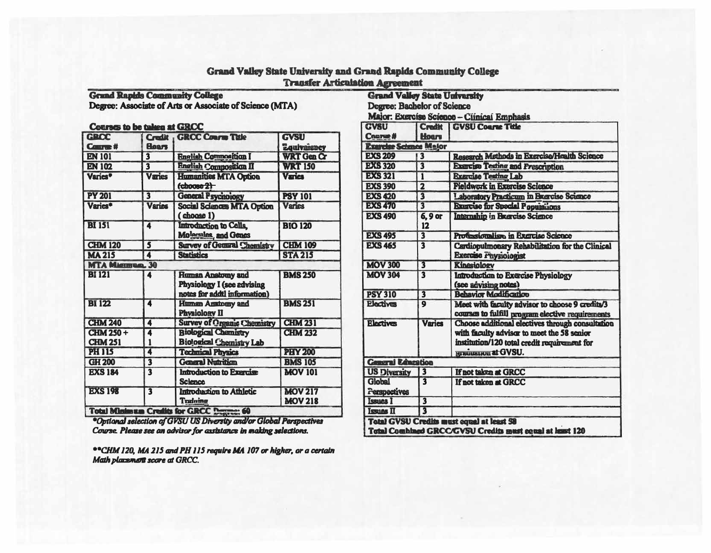| GROC<br><b>Course #</b> | <b>Hoars</b>            | Credit   GRCC Course Title                                                             | GVSU<br><b>Equivalency</b>       |
|-------------------------|-------------------------|----------------------------------------------------------------------------------------|----------------------------------|
| <b>EN 101</b>           | $\overline{\mathbf{3}}$ | <b>English Composition I</b>                                                           | <b>WRT Gen Cr</b>                |
| <b>EN 102</b>           | $\overline{\mathbf{3}}$ | <b>English Composition II</b>                                                          | <b>WRT 150</b>                   |
| Varies <sup>*</sup>     | Varies                  | <b>Humanities MTA Option</b><br>$(choose 2)$                                           | <b>Varies</b>                    |
| <b>PY 201</b>           | $\overline{\mathbf{3}}$ | <b>General Psychology</b>                                                              | <b>PSY 101</b>                   |
| Varies*                 | <b>Varies</b>           | <b>Social Sciences MTA Option</b><br>$($ choose $1)$                                   | <b>Varies</b>                    |
| <b>BI 151</b>           | 4                       | Introduction to Cella,<br>Molecules, and Genes                                         | <b>BIO 120</b>                   |
| <b>CHM 120</b>          | 5                       | <b>Survey of General Chemistry</b>                                                     | <b>CHM 109</b>                   |
| <b>MA 215</b>           | 4                       | <b>Statistics</b>                                                                      | <b>STA 215</b>                   |
| <b>MTA MAGIERRAL 30</b> |                         |                                                                                        |                                  |
| <b>BI 121</b>           | 4                       | <b>Human Anatomy and</b><br>Physiology I (see advising<br>notes for addtl information) | <b>BMS 250</b>                   |
| <b>BI 122</b>           | 4                       | <b>Human Anatomy and</b><br><b>Physiology II</b>                                       | <b>BMS 251</b>                   |
| <b>CHM 240</b>          | 4                       | <b>Survey of Organic Chemistry</b>                                                     | <b>CHM 231</b>                   |
| <b>CHM 250 +</b>        | $\blacktriangle$        | <b>Biological Chamistry</b>                                                            | <b>CHM 232</b>                   |
| <b>CHM 251</b>          | 1                       | <b>Biological Chemistry Lab</b>                                                        |                                  |
| <b>PH 115</b>           | 4                       | <b>Technical Physics</b>                                                               | <b>PHY 200</b>                   |
| <b>GH 200</b>           | $\overline{\mathbf{3}}$ | <b>General Nutrition</b>                                                               | <b>BMS 105</b>                   |
| <b>EXS 184</b>          | $\overline{\mathbf{3}}$ | Introduction to Exercise<br><b>Science</b>                                             | <b>MOV 101</b>                   |
| <b>EXS 198</b>          | $\overline{\mathbf{3}}$ | Introduction to Athletic<br><b>Training</b>                                            | <b>MOV 217</b><br><b>MOV 218</b> |

Degree: Associate of Arts or Associate of Science (MTA)

Grand Valley State University and Grand Rapids Community College **Transfer Articulation Agreement Grand Rapids Community College** 

\*Optional selection of GVSU US Diversity and/or Global Perspectives Course. Please see an advisor for assistance in making selections.

\*\* CHM 120, MA 215 and PH 115 require MA 107 or higher, or a certain Math placement score at GRCC.

| <b>Grand Valley State University</b>                     |                         |                                                                                                     |  |  |
|----------------------------------------------------------|-------------------------|-----------------------------------------------------------------------------------------------------|--|--|
| Degree: Bachelor of Science                              |                         |                                                                                                     |  |  |
| Major: Exercise Science - Clinical Emphasis              |                         |                                                                                                     |  |  |
| <b>GVSU</b>                                              | <b>Credit</b>           | <b>GVSU Course Title</b>                                                                            |  |  |
| <b>Course#</b>                                           | <b>Hoars</b>            |                                                                                                     |  |  |
| Exercise Science Major                                   |                         |                                                                                                     |  |  |
| <b>EXS 209</b>                                           | $\overline{\mathbf{3}}$ | <b>Research Methods in Exercise/Health Science</b>                                                  |  |  |
| <b>EXS 320</b>                                           | $\overline{\mathbf{3}}$ | <b>Exercise Testing and Prescription</b>                                                            |  |  |
| <b>EXS 321</b>                                           | $\overline{\mathbf{1}}$ | <b>Rxarcise Testing Lab</b>                                                                         |  |  |
| <b>EXS 390</b>                                           | $\overline{\mathbf{2}}$ | <b>Fieldwork in Exercise Science</b>                                                                |  |  |
| <b>EXS 420</b>                                           | $\overline{\mathbf{3}}$ | Laboratory Practicum in Brancise Science                                                            |  |  |
| <b>EXS 470</b>                                           | $\overline{\mathbf{3}}$ | <b>Exercise for Special Populations</b>                                                             |  |  |
| <b>EXS 490</b>                                           | 6, 9 or<br>12           | Internahip in Brancise Science                                                                      |  |  |
| <b>EXS 495</b>                                           | $\overline{\mathbf{3}}$ | Professionalism in Exercise Science                                                                 |  |  |
| <b>EXS 465</b>                                           | $\overline{\mathbf{3}}$ | Cardiopulmonary Rehabilitation for the Clinical<br><b>Exercise Physiologist</b>                     |  |  |
| <b>MOV 300</b>                                           | $\overline{\mathbf{3}}$ | <b>Kinesiology</b>                                                                                  |  |  |
| <b>MOV 304</b>                                           | $\overline{\mathbf{3}}$ | <b>Introduction to Exercise Physiology</b>                                                          |  |  |
|                                                          |                         | (see advising notes)                                                                                |  |  |
| <b>PSY 310</b>                                           | $\overline{\mathbf{3}}$ | <b>Behavior Modification</b>                                                                        |  |  |
| <b>Plectives</b>                                         | $\mathbf Q$             | Meet with faculty advisor to choose 9 credits/3<br>courses to fulfill program elective requirements |  |  |
| <b>Electives</b>                                         | <b>Varies</b>           | Choose additional electives through consultation                                                    |  |  |
|                                                          |                         | with faculty advisor to meet the 58 senior                                                          |  |  |
|                                                          |                         | institution/120 total credit requirement for                                                        |  |  |
|                                                          |                         | <b>HIRLINGHAVEL at GVSU.</b>                                                                        |  |  |
| <b>Ceneral Education</b>                                 |                         |                                                                                                     |  |  |
| <b>US Diversity</b>                                      | $\overline{\mathbf{3}}$ | If not taken at GRCC                                                                                |  |  |
| Global                                                   | 3                       | If not taken at GRCC                                                                                |  |  |
| Perspectives                                             |                         |                                                                                                     |  |  |
| <b>Issues I</b>                                          | $\overline{\mathbf{3}}$ |                                                                                                     |  |  |
| <b>Issues II</b>                                         | $\overline{\mathbf{3}}$ |                                                                                                     |  |  |
| Total GVSU Credits must equal at least 58                |                         |                                                                                                     |  |  |
| Total Combined GRCC/GVSU Credits must equal at least 120 |                         |                                                                                                     |  |  |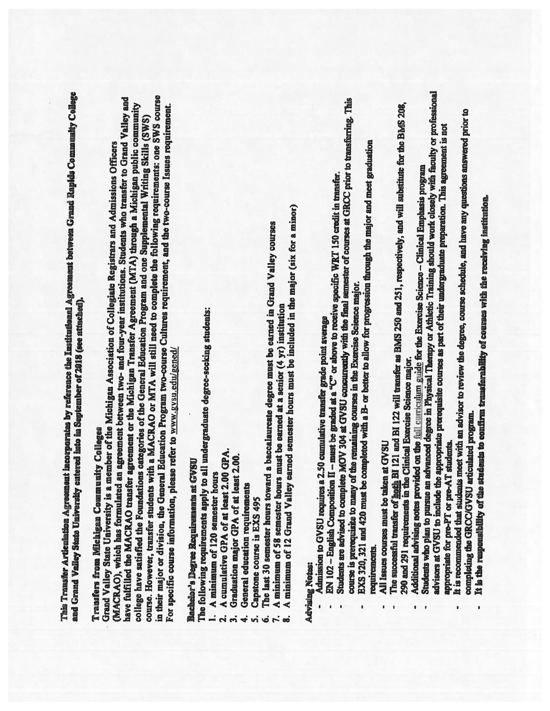This Transfer Articulation Agreement incorporates by reference the Institutional Agreement between Grand Rapids Community College and Grand Valley State University entered into in September of 2018 (see attached).

## Transfers from Michigan Community Colleges

course. However, transfer students with a MACRAO or MTA will still need to complete the following requirements: one SWS course (MACRAO), which has formulated an agreement between two- and four-year institutions. Students who transfer to Grand Valley and have fulfilled the MACRAO transfer agreement or the Michigan Transfer Agreement (MTA) through a Michigan public community in their major or division, the General Education Program two-course Cultures requirement, and the two-course Issues requirement. college have satisfied the Foundations categories of the General Education Program and one Supplemental Writing Skills (SWS) Grand Valley State University is a member of the Michigan Association of Collegiate Registrars and Admissions Officers For specific course information, please refer to www.gysu.edu/gened/

## Bachelor's Degree Requirements at GVSU

The following requirements apply to all undergraduate degree-seeking students:

- A minimum of 120 semester hours
- A cumulative GPA of at least 2.00 GPA.
- Graduation major GPA of at least 2.00.
	- General education requirements 4.
		- Capstone course is EXS 495 ທ່
			- $\vec{6}$
- The last 30 semester hours toward a baccalaureate degree must be earned in Grand Valley courses
	- A minimum of 58 semester hours must be earned at a senior  $(4 \text{ yr})$  institution  $\vec{r}$  as
- A minimum of 12 Grand Valley earned semester hours must be included in the major (six for a minor)

## **Advising Notes:**

- Admission to GVSU requires a 2.50 cumulative transfer grade point average
- EN 102 English Composition II must be graded at a "C" or above to receive specific WRT 150 credit in transfer.
- Students are advised to complete MOV 304 at GVSU concurrently with the final semester of courses at GRCC prior to transferring. This course is prerequisite to many of the remaining courses in the Exercise Science major.
	- EXS 320, 321 and 420 must be completed with a B- or better to allow for progression through the major and meet graduation requirements.
		- All Issues courses must be taken at GVSU
- The successful transfer of hoth BI 121 and BI 122 will transfer as BMS 250 and 251, respectively, and will substitute for the BMS 208, 290 and 291 requirements in the Clinical Exercise Science major.
	- Additional advising notes provided on the full curriculum guide for the Exercise Science Clinical Emphasis program
- Students who plan to pursue an advanced degree in Physical Therapy or Athletic Training should work closely with faculty or professional advisors at GVSU to include the appropriate prerequisite courses as part of their undergraduate preparation. This agreement is not appropriate for pre-PT or pre-AT students.
	- It is recommended that students meet with an advisor to review the degree, course schedule, and have any questions answered prior to completing the GRCC/GVSU articulated program.
		- It is the responsibility of the students to confirm transferability of courses with the receiving institution.